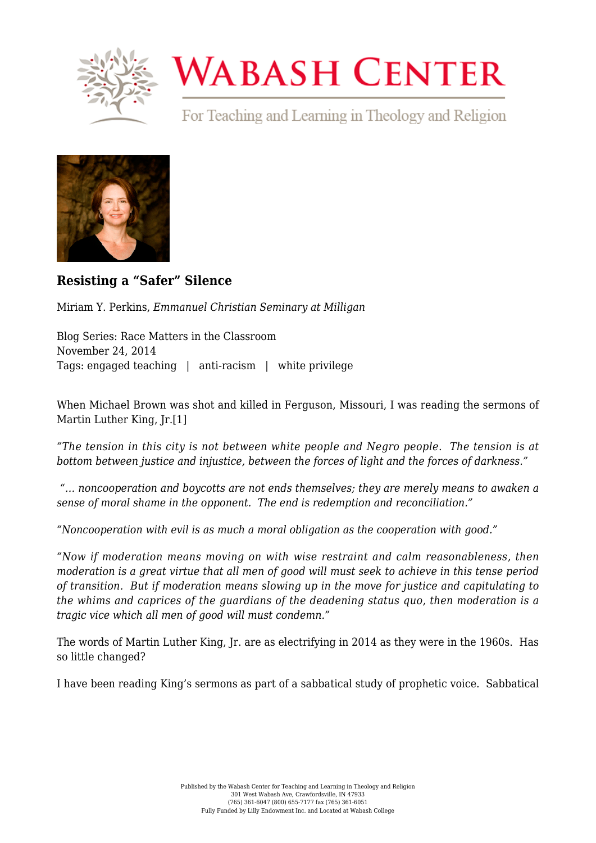

## **WABASH CENTER**

For Teaching and Learning in Theology and Religion



**[Resisting a "Safer" Silence](https://www.wabashcenter.wabash.edu/2014/11/resisting-a-safer-silence/)**

Miriam Y. Perkins, *Emmanuel Christian Seminary at Milligan*

Blog Series: Race Matters in the Classroom November 24, 2014 Tags: engaged teaching | anti-racism | white privilege

<span id="page-0-0"></span>When Michael Brown was shot and killed in Ferguson, Missouri, I was reading the sermons of Martin Luther King, Jr.[\[1\]](#page-2-0)

*"The tension in this city is not between white people and Negro people. The tension is at bottom between justice and injustice, between the forces of light and the forces of darkness."*

 *"… noncooperation and boycotts are not ends themselves; they are merely means to awaken a sense of moral shame in the opponent. The end is redemption and reconciliation."*

*"Noncooperation with evil is as much a moral obligation as the cooperation with good."*

*"Now if moderation means moving on with wise restraint and calm reasonableness, then moderation is a great virtue that all men of good will must seek to achieve in this tense period of transition. But if moderation means slowing up in the move for justice and capitulating to the whims and caprices of the guardians of the deadening status quo, then moderation is a tragic vice which all men of good will must condemn."*

The words of Martin Luther King, Jr. are as electrifying in 2014 as they were in the 1960s. Has so little changed?

I have been reading King's sermons as part of a sabbatical study of prophetic voice. Sabbatical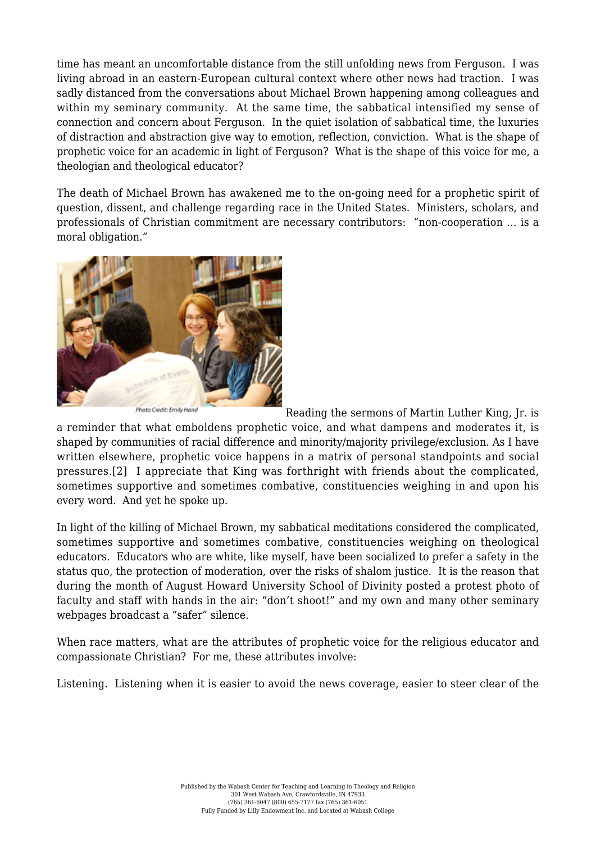time has meant an uncomfortable distance from the still unfolding news from Ferguson. I was living abroad in an eastern-European cultural context where other news had traction. I was sadly distanced from the conversations about Michael Brown happening among colleagues and within my seminary community. At the same time, the sabbatical intensified my sense of connection and concern about Ferguson. In the quiet isolation of sabbatical time, the luxuries of distraction and abstraction give way to emotion, reflection, conviction. What is the shape of prophetic voice for an academic in light of Ferguson? What is the shape of this voice for me, a theologian and theological educator?

The death of Michael Brown has awakened me to the on-going need for a prophetic spirit of question, dissent, and challenge regarding race in the United States. Ministers, scholars, and professionals of Christian commitment are necessary contributors: "non-cooperation … is a moral obligation."



Photo Credit: Emily Hand Reading the sermons of Martin Luther King, Jr. is a reminder that what emboldens prophetic voice, and what dampens and moderates it, is shaped by communities of racial difference and minority/majority privilege/exclusion. As I have written elsewhere, prophetic voice happens in a matrix of personal standpoints and social pressures.[\[2\]](#page-2-1) I appreciate that King was forthright with friends about the complicated, sometimes supportive and sometimes combative, constituencies weighing in and upon his every word. And yet he spoke up.

<span id="page-1-0"></span>In light of the killing of Michael Brown, my sabbatical meditations considered the complicated, sometimes supportive and sometimes combative, constituencies weighing on theological educators. Educators who are white, like myself, have been socialized to prefer a safety in the status quo, the protection of moderation, over the risks of shalom justice. It is the reason that during the month of August Howard University School of Divinity posted a protest photo of faculty and staff with hands in the air: "don't shoot!" and my own and many other seminary webpages broadcast a "safer" silence.

When race matters, what are the attributes of prophetic voice for the religious educator and compassionate Christian? For me, these attributes involve:

Listening. Listening when it is easier to avoid the news coverage, easier to steer clear of the